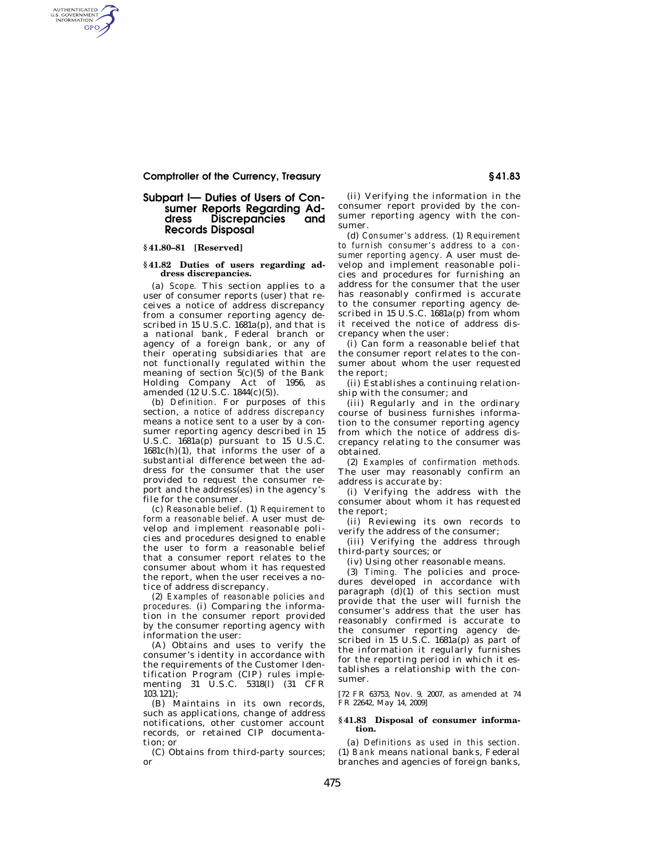# **Comptroller of the Currency, Treasury § 41.83**

### **Subpart I— Duties of Users of Consumer Reports Regarding Address Discrepancies and Records Disposal**

### **§ 41.80–81 [Reserved]**

AUTHENTICATED<br>U.S. GOVERNMENT<br>INFORMATION GPO

#### **§ 41.82 Duties of users regarding address discrepancies.**

(a) *Scope.* This section applies to a user of consumer reports (user) that receives a notice of address discrepancy from a consumer reporting agency described in 15 U.S.C. 1681a(p), and that is a national bank, Federal branch or agency of a foreign bank, or any of their operating subsidiaries that are not functionally regulated within the meaning of section  $5(c)(5)$  of the Bank Holding Company Act of 1956, as amended (12 U.S.C. 1844(c)(5)).

(b) *Definition.* For purposes of this section, a *notice of address discrepancy*  means a notice sent to a user by a consumer reporting agency described in 15 U.S.C. 1681a(p) pursuant to 15 U.S.C.  $1681c(h)(1)$ , that informs the user of a substantial difference between the address for the consumer that the user provided to request the consumer report and the address(es) in the agency's file for the consumer.

(c) *Reasonable belief.* (1) *Requirement to form a reasonable belief.* A user must develop and implement reasonable policies and procedures designed to enable the user to form a reasonable belief that a consumer report relates to the consumer about whom it has requested the report, when the user receives a notice of address discrepancy.

(2) *Examples of reasonable policies and procedures.* (i) Comparing the information in the consumer report provided by the consumer reporting agency with information the user:

(A) Obtains and uses to verify the consumer's identity in accordance with the requirements of the Customer Identification Program (CIP) rules implementing 31 U.S.C. 5318(l) (31 CFR 103.121);

(B) Maintains in its own records, such as applications, change of address notifications, other customer account records, or retained CIP documentation; or

(C) Obtains from third-party sources; or

(ii) Verifying the information in the consumer report provided by the consumer reporting agency with the consumer.

(d) *Consumer's address.* (1) *Requirement to furnish consumer's address to a consumer reporting agency.* A user must develop and implement reasonable policies and procedures for furnishing an address for the consumer that the user has reasonably confirmed is accurate to the consumer reporting agency described in 15 U.S.C.  $1681a(p)$  from whom it received the notice of address discrepancy when the user:

(i) Can form a reasonable belief that the consumer report relates to the consumer about whom the user requested the report;

(ii) Establishes a continuing relationship with the consumer; and

(iii) Regularly and in the ordinary course of business furnishes information to the consumer reporting agency from which the notice of address discrepancy relating to the consumer was obtained.

(2) *Examples of confirmation methods.*  The user may reasonably confirm an address is accurate by:

(i) Verifying the address with the consumer about whom it has requested the report;

(ii) Reviewing its own records to verify the address of the consumer;

(iii) Verifying the address through third-party sources; or

(iv) Using other reasonable means.

(3) *Timing.* The policies and procedures developed in accordance with paragraph  $(d)(1)$  of this section must provide that the user will furnish the consumer's address that the user has reasonably confirmed is accurate to the consumer reporting agency described in 15 U.S.C. 1681a(p) as part of the information it regularly furnishes for the reporting period in which it establishes a relationship with the consumer.

[72 FR 63753, Nov. 9, 2007, as amended at 74 FR 22642, May 14, 2009]

#### **§ 41.83 Disposal of consumer information.**

(a) *Definitions as used in this section.*  (1) *Bank* means national banks, Federal branches and agencies of foreign banks,